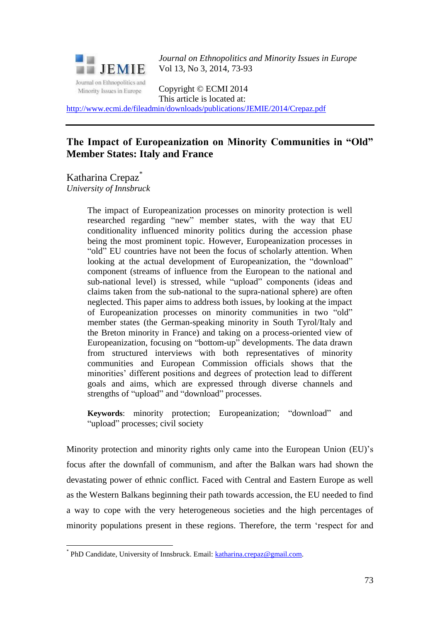

*Journal on Ethnopolitics and Minority Issues in Europe* Vol 13, No 3, 2014, 73-93

Copyright © ECMI 2014 This article is located at:

<http://www.ecmi.de/fileadmin/downloads/publications/JEMIE/2014/Crepaz.pdf>

## **The Impact of Europeanization on Minority Communities in "Old" Member States: Italy and France**

Katharina Crepaz<sup>\*</sup> *University of Innsbruck*

1

The impact of Europeanization processes on minority protection is well researched regarding "new" member states, with the way that EU conditionality influenced minority politics during the accession phase being the most prominent topic. However, Europeanization processes in "old" EU countries have not been the focus of scholarly attention. When looking at the actual development of Europeanization, the "download" component (streams of influence from the European to the national and sub-national level) is stressed, while "upload" components (ideas and claims taken from the sub-national to the supra-national sphere) are often neglected. This paper aims to address both issues, by looking at the impact of Europeanization processes on minority communities in two "old" member states (the German-speaking minority in South Tyrol/Italy and the Breton minority in France) and taking on a process-oriented view of Europeanization, focusing on "bottom-up" developments. The data drawn from structured interviews with both representatives of minority communities and European Commission officials shows that the minorities' different positions and degrees of protection lead to different goals and aims, which are expressed through diverse channels and strengths of "upload" and "download" processes.

**Keywords**: minority protection; Europeanization; "download" and "upload" processes; civil society

Minority protection and minority rights only came into the European Union (EU)'s focus after the downfall of communism, and after the Balkan wars had shown the devastating power of ethnic conflict. Faced with Central and Eastern Europe as well as the Western Balkans beginning their path towards accession, the EU needed to find a way to cope with the very heterogeneous societies and the high percentages of minority populations present in these regions. Therefore, the term 'respect for and

<sup>\*</sup> PhD Candidate, University of Innsbruck. Email: [katharina.crepaz@gmail.com.](mailto:katharina.crepaz@gmail.com)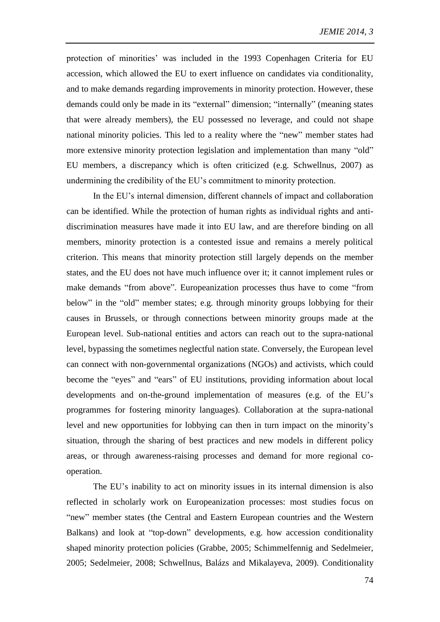protection of minorities' was included in the 1993 Copenhagen Criteria for EU accession, which allowed the EU to exert influence on candidates via conditionality, and to make demands regarding improvements in minority protection. However, these demands could only be made in its "external" dimension; "internally" (meaning states that were already members), the EU possessed no leverage, and could not shape national minority policies. This led to a reality where the "new" member states had more extensive minority protection legislation and implementation than many "old" EU members, a discrepancy which is often criticized (e.g. Schwellnus, 2007) as undermining the credibility of the EU's commitment to minority protection.

In the EU's internal dimension, different channels of impact and collaboration can be identified. While the protection of human rights as individual rights and antidiscrimination measures have made it into EU law, and are therefore binding on all members, minority protection is a contested issue and remains a merely political criterion. This means that minority protection still largely depends on the member states, and the EU does not have much influence over it; it cannot implement rules or make demands "from above". Europeanization processes thus have to come "from below" in the "old" member states; e.g. through minority groups lobbying for their causes in Brussels, or through connections between minority groups made at the European level. Sub-national entities and actors can reach out to the supra-national level, bypassing the sometimes neglectful nation state. Conversely, the European level can connect with non-governmental organizations (NGOs) and activists, which could become the "eyes" and "ears" of EU institutions, providing information about local developments and on-the-ground implementation of measures (e.g. of the EU's programmes for fostering minority languages). Collaboration at the supra-national level and new opportunities for lobbying can then in turn impact on the minority's situation, through the sharing of best practices and new models in different policy areas, or through awareness-raising processes and demand for more regional cooperation.

The EU's inability to act on minority issues in its internal dimension is also reflected in scholarly work on Europeanization processes: most studies focus on "new" member states (the Central and Eastern European countries and the Western Balkans) and look at "top-down" developments, e.g. how accession conditionality shaped minority protection policies (Grabbe, 2005; Schimmelfennig and Sedelmeier, 2005; Sedelmeier, 2008; Schwellnus, Balázs and Mikalayeva, 2009). Conditionality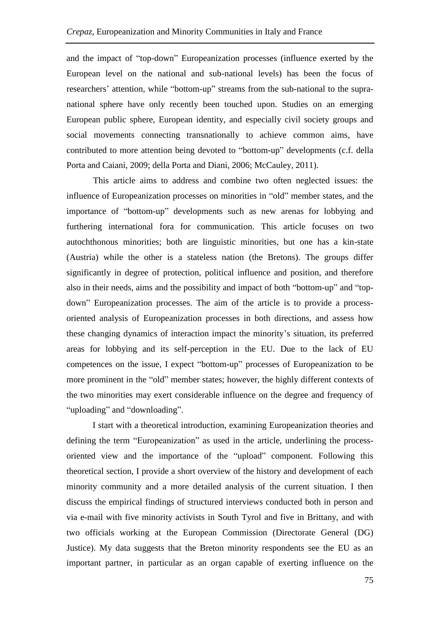and the impact of "top-down" Europeanization processes (influence exerted by the European level on the national and sub-national levels) has been the focus of researchers' attention, while "bottom-up" streams from the sub-national to the supranational sphere have only recently been touched upon. Studies on an emerging European public sphere, European identity, and especially civil society groups and social movements connecting transnationally to achieve common aims, have contributed to more attention being devoted to "bottom-up" developments (c.f. della Porta and Caiani, 2009; della Porta and Diani, 2006; McCauley, 2011).

This article aims to address and combine two often neglected issues: the influence of Europeanization processes on minorities in "old" member states, and the importance of "bottom-up" developments such as new arenas for lobbying and furthering international fora for communication. This article focuses on two autochthonous minorities; both are linguistic minorities, but one has a kin-state (Austria) while the other is a stateless nation (the Bretons). The groups differ significantly in degree of protection, political influence and position, and therefore also in their needs, aims and the possibility and impact of both "bottom-up" and "topdown" Europeanization processes. The aim of the article is to provide a processoriented analysis of Europeanization processes in both directions, and assess how these changing dynamics of interaction impact the minority's situation, its preferred areas for lobbying and its self-perception in the EU. Due to the lack of EU competences on the issue, I expect "bottom-up" processes of Europeanization to be more prominent in the "old" member states; however, the highly different contexts of the two minorities may exert considerable influence on the degree and frequency of "uploading" and "downloading".

I start with a theoretical introduction, examining Europeanization theories and defining the term "Europeanization" as used in the article, underlining the processoriented view and the importance of the "upload" component. Following this theoretical section, I provide a short overview of the history and development of each minority community and a more detailed analysis of the current situation. I then discuss the empirical findings of structured interviews conducted both in person and via e-mail with five minority activists in South Tyrol and five in Brittany, and with two officials working at the European Commission (Directorate General (DG) Justice). My data suggests that the Breton minority respondents see the EU as an important partner, in particular as an organ capable of exerting influence on the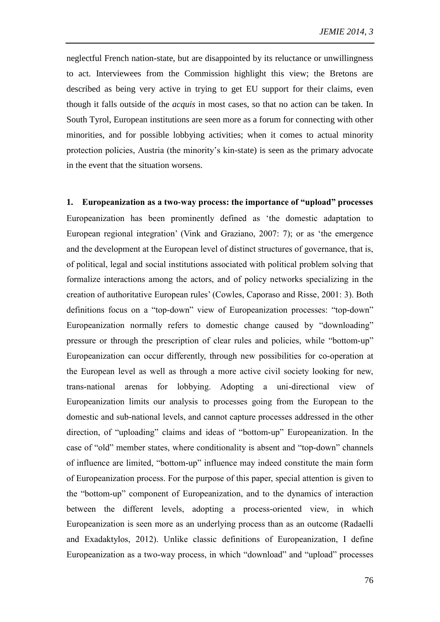neglectful French nation-state, but are disappointed by its reluctance or unwillingness to act. Interviewees from the Commission highlight this view; the Bretons are described as being very active in trying to get EU support for their claims, even though it falls outside of the *acquis* in most cases, so that no action can be taken. In South Tyrol, European institutions are seen more as a forum for connecting with other minorities, and for possible lobbying activities; when it comes to actual minority protection policies, Austria (the minority's kin-state) is seen as the primary advocate in the event that the situation worsens.

**1. Europeanization as a two-way process: the importance of "upload" processes** Europeanization has been prominently defined as 'the domestic adaptation to European regional integration' (Vink and Graziano, 2007: 7); or as 'the emergence and the development at the European level of distinct structures of governance, that is, of political, legal and social institutions associated with political problem solving that formalize interactions among the actors, and of policy networks specializing in the creation of authoritative European rules' (Cowles, Caporaso and Risse, 2001: 3). Both definitions focus on a "top-down" view of Europeanization processes: "top-down" Europeanization normally refers to domestic change caused by "downloading" pressure or through the prescription of clear rules and policies, while "bottom-up" Europeanization can occur differently, through new possibilities for co-operation at the European level as well as through a more active civil society looking for new, trans-national arenas for lobbying. Adopting a uni-directional view of Europeanization limits our analysis to processes going from the European to the domestic and sub-national levels, and cannot capture processes addressed in the other direction, of "uploading" claims and ideas of "bottom-up" Europeanization. In the case of "old" member states, where conditionality is absent and "top-down" channels of influence are limited, "bottom-up" influence may indeed constitute the main form of Europeanization process. For the purpose of this paper, special attention is given to the "bottom-up" component of Europeanization, and to the dynamics of interaction between the different levels, adopting a process-oriented view, in which Europeanization is seen more as an underlying process than as an outcome (Radaelli and Exadaktylos, 2012). Unlike classic definitions of Europeanization, I define Europeanization as a two-way process, in which "download" and "upload" processes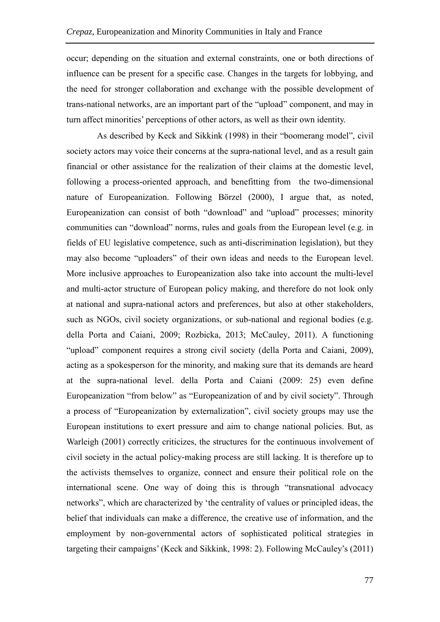occur; depending on the situation and external constraints, one or both directions of influence can be present for a specific case. Changes in the targets for lobbying, and the need for stronger collaboration and exchange with the possible development of trans-national networks, are an important part of the "upload" component, and may in turn affect minorities' perceptions of other actors, as well as their own identity.

 As described by Keck and Sikkink (1998) in their "boomerang model", civil society actors may voice their concerns at the supra-national level, and as a result gain financial or other assistance for the realization of their claims at the domestic level, following a process-oriented approach, and benefitting from the two-dimensional nature of Europeanization. Following Börzel (2000), I argue that, as noted, Europeanization can consist of both "download" and "upload" processes; minority communities can "download" norms, rules and goals from the European level (e.g. in fields of EU legislative competence, such as anti-discrimination legislation), but they may also become "uploaders" of their own ideas and needs to the European level. More inclusive approaches to Europeanization also take into account the multi-level and multi-actor structure of European policy making, and therefore do not look only at national and supra-national actors and preferences, but also at other stakeholders, such as NGOs, civil society organizations, or sub-national and regional bodies (e.g. della Porta and Caiani, 2009; Rozbicka, 2013; McCauley, 2011). A functioning "upload" component requires a strong civil society (della Porta and Caiani, 2009), acting as a spokesperson for the minority, and making sure that its demands are heard at the supra-national level. della Porta and Caiani (2009: 25) even define Europeanization "from below" as "Europeanization of and by civil society". Through a process of "Europeanization by externalization", civil society groups may use the European institutions to exert pressure and aim to change national policies. But, as Warleigh (2001) correctly criticizes, the structures for the continuous involvement of civil society in the actual policy-making process are still lacking. It is therefore up to the activists themselves to organize, connect and ensure their political role on the international scene. One way of doing this is through "transnational advocacy networks", which are characterized by 'the centrality of values or principled ideas, the belief that individuals can make a difference, the creative use of information, and the employment by non-governmental actors of sophisticated political strategies in targeting their campaigns' (Keck and Sikkink, 1998: 2). Following McCauley's (2011)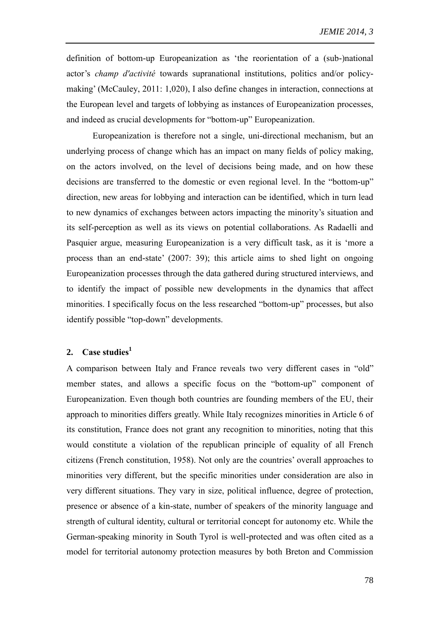definition of bottom-up Europeanization as 'the reorientation of a (sub-)national actor's *champ d'activité* towards supranational institutions, politics and/or policymaking' (McCauley, 2011: 1,020), I also define changes in interaction, connections at the European level and targets of lobbying as instances of Europeanization processes, and indeed as crucial developments for "bottom-up" Europeanization.

Europeanization is therefore not a single, uni-directional mechanism, but an underlying process of change which has an impact on many fields of policy making, on the actors involved, on the level of decisions being made, and on how these decisions are transferred to the domestic or even regional level. In the "bottom-up" direction, new areas for lobbying and interaction can be identified, which in turn lead to new dynamics of exchanges between actors impacting the minority's situation and its self-perception as well as its views on potential collaborations. As Radaelli and Pasquier argue, measuring Europeanization is a very difficult task, as it is 'more a process than an end-state' (2007: 39); this article aims to shed light on ongoing Europeanization processes through the data gathered during structured interviews, and to identify the impact of possible new developments in the dynamics that affect minorities. I specifically focus on the less researched "bottom-up" processes, but also identify possible "top-down" developments.

### **2. Case studies<sup>1</sup>**

A comparison between Italy and France reveals two very different cases in "old" member states, and allows a specific focus on the "bottom-up" component of Europeanization. Even though both countries are founding members of the EU, their approach to minorities differs greatly. While Italy recognizes minorities in Article 6 of its constitution, France does not grant any recognition to minorities, noting that this would constitute a violation of the republican principle of equality of all French citizens (French constitution, 1958). Not only are the countries' overall approaches to minorities very different, but the specific minorities under consideration are also in very different situations. They vary in size, political influence, degree of protection, presence or absence of a kin-state, number of speakers of the minority language and strength of cultural identity, cultural or territorial concept for autonomy etc. While the German-speaking minority in South Tyrol is well-protected and was often cited as a model for territorial autonomy protection measures by both Breton and Commission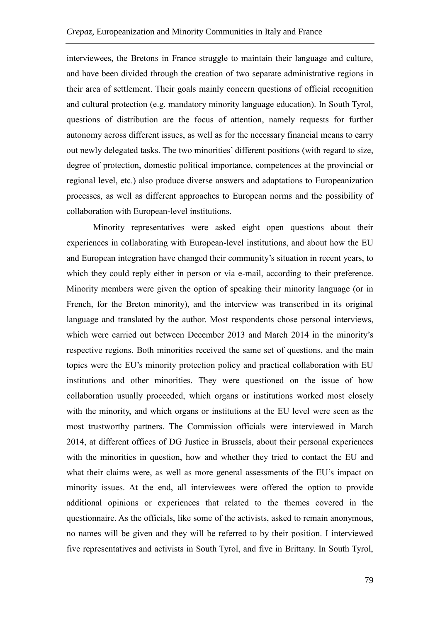interviewees, the Bretons in France struggle to maintain their language and culture, and have been divided through the creation of two separate administrative regions in their area of settlement. Their goals mainly concern questions of official recognition and cultural protection (e.g. mandatory minority language education). In South Tyrol, questions of distribution are the focus of attention, namely requests for further autonomy across different issues, as well as for the necessary financial means to carry out newly delegated tasks. The two minorities' different positions (with regard to size, degree of protection, domestic political importance, competences at the provincial or regional level, etc.) also produce diverse answers and adaptations to Europeanization processes, as well as different approaches to European norms and the possibility of collaboration with European-level institutions.

Minority representatives were asked eight open questions about their experiences in collaborating with European-level institutions, and about how the EU and European integration have changed their community's situation in recent years, to which they could reply either in person or via e-mail, according to their preference. Minority members were given the option of speaking their minority language (or in French, for the Breton minority), and the interview was transcribed in its original language and translated by the author. Most respondents chose personal interviews, which were carried out between December 2013 and March 2014 in the minority's respective regions. Both minorities received the same set of questions, and the main topics were the EU's minority protection policy and practical collaboration with EU institutions and other minorities. They were questioned on the issue of how collaboration usually proceeded, which organs or institutions worked most closely with the minority, and which organs or institutions at the EU level were seen as the most trustworthy partners. The Commission officials were interviewed in March 2014, at different offices of DG Justice in Brussels, about their personal experiences with the minorities in question, how and whether they tried to contact the EU and what their claims were, as well as more general assessments of the EU's impact on minority issues. At the end, all interviewees were offered the option to provide additional opinions or experiences that related to the themes covered in the questionnaire. As the officials, like some of the activists, asked to remain anonymous, no names will be given and they will be referred to by their position. I interviewed five representatives and activists in South Tyrol, and five in Brittany. In South Tyrol,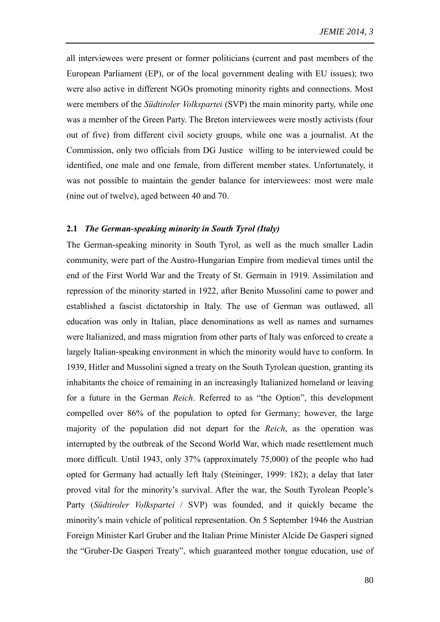all interviewees were present or former politicians (current and past members of the European Parliament (EP), or of the local government dealing with EU issues); two were also active in different NGOs promoting minority rights and connections. Most were members of the *Südtiroler Volkspartei* (SVP) the main minority party, while one was a member of the Green Party. The Breton interviewees were mostly activists (four out of five) from different civil society groups, while one was a journalist. At the Commission, only two officials from DG Justice willing to be interviewed could be identified, one male and one female, from different member states. Unfortunately, it was not possible to maintain the gender balance for interviewees: most were male (nine out of twelve), aged between 40 and 70.

### **2.1** *The German-speaking minority in South Tyrol (Italy)*

The German-speaking minority in South Tyrol, as well as the much smaller Ladin community, were part of the Austro-Hungarian Empire from medieval times until the end of the First World War and the Treaty of St. Germain in 1919. Assimilation and repression of the minority started in 1922, after Benito Mussolini came to power and established a fascist dictatorship in Italy. The use of German was outlawed, all education was only in Italian, place denominations as well as names and surnames were Italianized, and mass migration from other parts of Italy was enforced to create a largely Italian-speaking environment in which the minority would have to conform. In 1939, Hitler and Mussolini signed a treaty on the South Tyrolean question, granting its inhabitants the choice of remaining in an increasingly Italianized homeland or leaving for a future in the German *Reich*. Referred to as "the Option", this development compelled over 86% of the population to opted for Germany; however, the large majority of the population did not depart for the *Reich*, as the operation was interrupted by the outbreak of the Second World War, which made resettlement much more difficult. Until 1943, only 37% (approximately 75,000) of the people who had opted for Germany had actually left Italy (Steininger, 1999: 182); a delay that later proved vital for the minority's survival. After the war, the South Tyrolean People's Party (*Südtiroler Volkspartei* / SVP) was founded, and it quickly became the minority's main vehicle of political representation. On 5 September 1946 the Austrian Foreign Minister Karl Gruber and the Italian Prime Minister Alcide De Gasperi signed the "Gruber-De Gasperi Treaty", which guaranteed mother tongue education, use of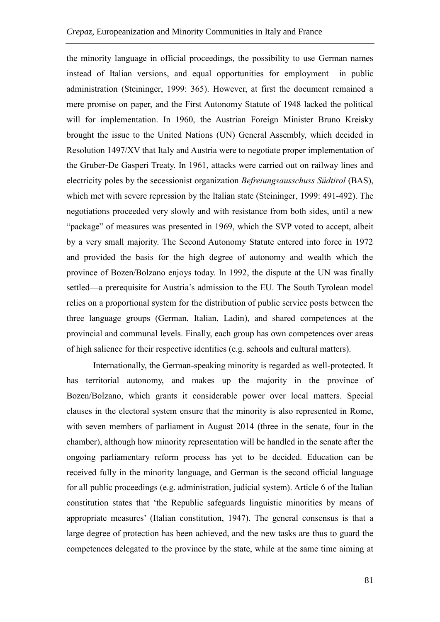the minority language in official proceedings, the possibility to use German names instead of Italian versions, and equal opportunities for employment in public administration (Steininger, 1999: 365). However, at first the document remained a mere promise on paper, and the First Autonomy Statute of 1948 lacked the political will for implementation. In 1960, the Austrian Foreign Minister Bruno Kreisky brought the issue to the United Nations (UN) General Assembly, which decided in Resolution 1497/XV that Italy and Austria were to negotiate proper implementation of the Gruber-De Gasperi Treaty. In 1961, attacks were carried out on railway lines and electricity poles by the secessionist organization *Befreiungsausschuss Südtirol* (BAS), which met with severe repression by the Italian state (Steininger, 1999: 491-492). The negotiations proceeded very slowly and with resistance from both sides, until a new "package" of measures was presented in 1969, which the SVP voted to accept, albeit by a very small majority. The Second Autonomy Statute entered into force in 1972 and provided the basis for the high degree of autonomy and wealth which the province of Bozen/Bolzano enjoys today. In 1992, the dispute at the UN was finally settled—a prerequisite for Austria's admission to the EU. The South Tyrolean model relies on a proportional system for the distribution of public service posts between the three language groups (German, Italian, Ladin), and shared competences at the provincial and communal levels. Finally, each group has own competences over areas of high salience for their respective identities (e.g. schools and cultural matters).

Internationally, the German-speaking minority is regarded as well-protected. It has territorial autonomy, and makes up the majority in the province of Bozen/Bolzano, which grants it considerable power over local matters. Special clauses in the electoral system ensure that the minority is also represented in Rome, with seven members of parliament in August 2014 (three in the senate, four in the chamber), although how minority representation will be handled in the senate after the ongoing parliamentary reform process has yet to be decided. Education can be received fully in the minority language, and German is the second official language for all public proceedings (e.g. administration, judicial system). Article 6 of the Italian constitution states that 'the Republic safeguards linguistic minorities by means of appropriate measures' (Italian constitution, 1947). The general consensus is that a large degree of protection has been achieved, and the new tasks are thus to guard the competences delegated to the province by the state, while at the same time aiming at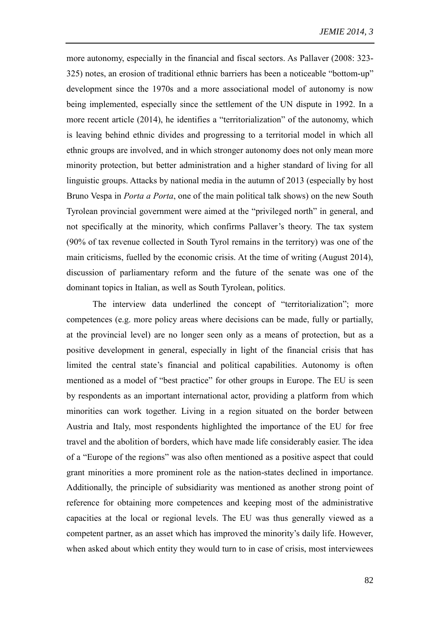more autonomy, especially in the financial and fiscal sectors. As Pallaver (2008: 323- 325) notes, an erosion of traditional ethnic barriers has been a noticeable "bottom-up" development since the 1970s and a more associational model of autonomy is now being implemented, especially since the settlement of the UN dispute in 1992. In a more recent article (2014), he identifies a "territorialization" of the autonomy, which is leaving behind ethnic divides and progressing to a territorial model in which all ethnic groups are involved, and in which stronger autonomy does not only mean more minority protection, but better administration and a higher standard of living for all linguistic groups. Attacks by national media in the autumn of 2013 (especially by host Bruno Vespa in *Porta a Porta*, one of the main political talk shows) on the new South Tyrolean provincial government were aimed at the "privileged north" in general, and not specifically at the minority, which confirms Pallaver's theory. The tax system (90% of tax revenue collected in South Tyrol remains in the territory) was one of the main criticisms, fuelled by the economic crisis. At the time of writing (August 2014), discussion of parliamentary reform and the future of the senate was one of the dominant topics in Italian, as well as South Tyrolean, politics.

The interview data underlined the concept of "territorialization"; more competences (e.g. more policy areas where decisions can be made, fully or partially, at the provincial level) are no longer seen only as a means of protection, but as a positive development in general, especially in light of the financial crisis that has limited the central state's financial and political capabilities. Autonomy is often mentioned as a model of "best practice" for other groups in Europe. The EU is seen by respondents as an important international actor, providing a platform from which minorities can work together. Living in a region situated on the border between Austria and Italy, most respondents highlighted the importance of the EU for free travel and the abolition of borders, which have made life considerably easier. The idea of a "Europe of the regions" was also often mentioned as a positive aspect that could grant minorities a more prominent role as the nation-states declined in importance. Additionally, the principle of subsidiarity was mentioned as another strong point of reference for obtaining more competences and keeping most of the administrative capacities at the local or regional levels. The EU was thus generally viewed as a competent partner, as an asset which has improved the minority's daily life. However, when asked about which entity they would turn to in case of crisis, most interviewees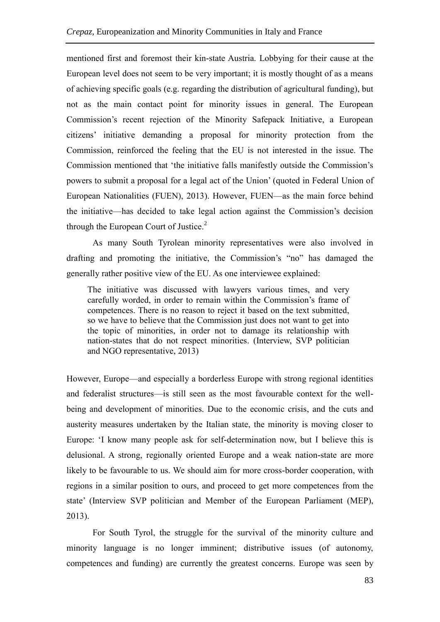mentioned first and foremost their kin-state Austria. Lobbying for their cause at the European level does not seem to be very important; it is mostly thought of as a means of achieving specific goals (e.g. regarding the distribution of agricultural funding), but not as the main contact point for minority issues in general. The European Commission's recent rejection of the Minority Safepack Initiative, a European citizens' initiative demanding a proposal for minority protection from the Commission, reinforced the feeling that the EU is not interested in the issue. The Commission mentioned that 'the initiative falls manifestly outside the Commission's powers to submit a proposal for a legal act of the Union' (quoted in Federal Union of European Nationalities (FUEN), 2013). However, FUEN—as the main force behind the initiative—has decided to take legal action against the Commission's decision through the European Court of Justice. $<sup>2</sup>$ </sup>

As many South Tyrolean minority representatives were also involved in drafting and promoting the initiative, the Commission's "no" has damaged the generally rather positive view of the EU. As one interviewee explained:

The initiative was discussed with lawyers various times, and very carefully worded, in order to remain within the Commission's frame of competences. There is no reason to reject it based on the text submitted, so we have to believe that the Commission just does not want to get into the topic of minorities, in order not to damage its relationship with nation-states that do not respect minorities. (Interview, SVP politician and NGO representative, 2013)

However, Europe—and especially a borderless Europe with strong regional identities and federalist structures—is still seen as the most favourable context for the wellbeing and development of minorities. Due to the economic crisis, and the cuts and austerity measures undertaken by the Italian state, the minority is moving closer to Europe: 'I know many people ask for self-determination now, but I believe this is delusional. A strong, regionally oriented Europe and a weak nation-state are more likely to be favourable to us. We should aim for more cross-border cooperation, with regions in a similar position to ours, and proceed to get more competences from the state' (Interview SVP politician and Member of the European Parliament (MEP), 2013).

For South Tyrol, the struggle for the survival of the minority culture and minority language is no longer imminent; distributive issues (of autonomy, competences and funding) are currently the greatest concerns. Europe was seen by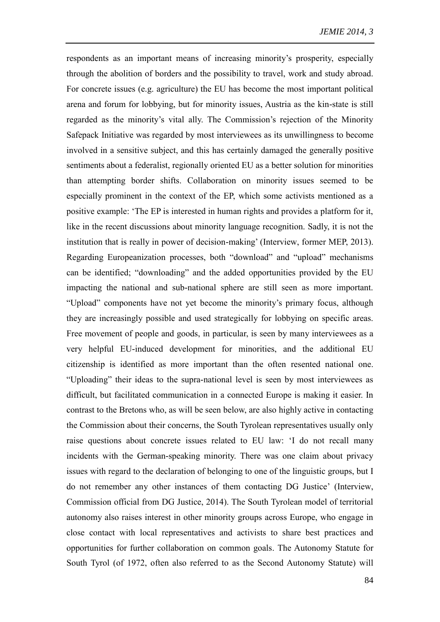respondents as an important means of increasing minority's prosperity, especially through the abolition of borders and the possibility to travel, work and study abroad. For concrete issues (e.g. agriculture) the EU has become the most important political arena and forum for lobbying, but for minority issues, Austria as the kin-state is still regarded as the minority's vital ally. The Commission's rejection of the Minority Safepack Initiative was regarded by most interviewees as its unwillingness to become involved in a sensitive subject, and this has certainly damaged the generally positive sentiments about a federalist, regionally oriented EU as a better solution for minorities than attempting border shifts. Collaboration on minority issues seemed to be especially prominent in the context of the EP, which some activists mentioned as a positive example: 'The EP is interested in human rights and provides a platform for it, like in the recent discussions about minority language recognition. Sadly, it is not the institution that is really in power of decision-making' (Interview, former MEP, 2013). Regarding Europeanization processes, both "download" and "upload" mechanisms can be identified; "downloading" and the added opportunities provided by the EU impacting the national and sub-national sphere are still seen as more important. "Upload" components have not yet become the minority's primary focus, although they are increasingly possible and used strategically for lobbying on specific areas. Free movement of people and goods, in particular, is seen by many interviewees as a very helpful EU-induced development for minorities, and the additional EU citizenship is identified as more important than the often resented national one. "Uploading" their ideas to the supra-national level is seen by most interviewees as difficult, but facilitated communication in a connected Europe is making it easier. In contrast to the Bretons who, as will be seen below, are also highly active in contacting the Commission about their concerns, the South Tyrolean representatives usually only raise questions about concrete issues related to EU law: 'I do not recall many incidents with the German-speaking minority. There was one claim about privacy issues with regard to the declaration of belonging to one of the linguistic groups, but I do not remember any other instances of them contacting DG Justice' (Interview, Commission official from DG Justice, 2014). The South Tyrolean model of territorial autonomy also raises interest in other minority groups across Europe, who engage in close contact with local representatives and activists to share best practices and opportunities for further collaboration on common goals. The Autonomy Statute for South Tyrol (of 1972, often also referred to as the Second Autonomy Statute) will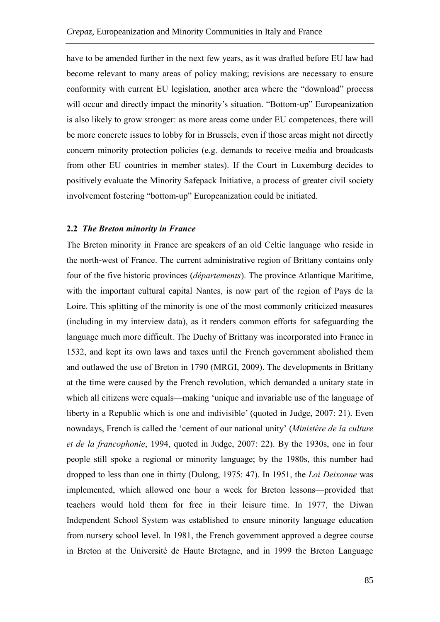have to be amended further in the next few years, as it was drafted before EU law had become relevant to many areas of policy making; revisions are necessary to ensure conformity with current EU legislation, another area where the "download" process will occur and directly impact the minority's situation. "Bottom-up" Europeanization is also likely to grow stronger: as more areas come under EU competences, there will be more concrete issues to lobby for in Brussels, even if those areas might not directly concern minority protection policies (e.g. demands to receive media and broadcasts from other EU countries in member states). If the Court in Luxemburg decides to positively evaluate the Minority Safepack Initiative, a process of greater civil society involvement fostering "bottom-up" Europeanization could be initiated.

### **2.2** *The Breton minority in France*

The Breton minority in France are speakers of an old Celtic language who reside in the north-west of France. The current administrative region of Brittany contains only four of the five historic provinces (*départements*). The province Atlantique Maritime, with the important cultural capital Nantes, is now part of the region of Pays de la Loire. This splitting of the minority is one of the most commonly criticized measures (including in my interview data), as it renders common efforts for safeguarding the language much more difficult. The Duchy of Brittany was incorporated into France in 1532, and kept its own laws and taxes until the French government abolished them and outlawed the use of Breton in 1790 (MRGI, 2009). The developments in Brittany at the time were caused by the French revolution, which demanded a unitary state in which all citizens were equals—making 'unique and invariable use of the language of liberty in a Republic which is one and indivisible' (quoted in Judge, 2007: 21). Even nowadays, French is called the 'cement of our national unity' (*Ministère de la culture et de la francophonie*, 1994, quoted in Judge, 2007: 22). By the 1930s, one in four people still spoke a regional or minority language; by the 1980s, this number had dropped to less than one in thirty (Dulong, 1975: 47). In 1951, the *Loi Deixonne* was implemented, which allowed one hour a week for Breton lessons—provided that teachers would hold them for free in their leisure time. In 1977, the Diwan Independent School System was established to ensure minority language education from nursery school level. In 1981, the French government approved a degree course in Breton at the Université de Haute Bretagne, and in 1999 the Breton Language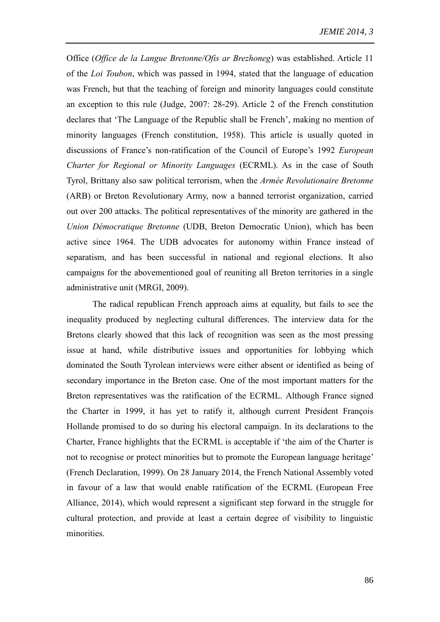Office (*Office de la Langue Bretonne/Ofis ar Brezhoneg*) was established. Article 11 of the *Loi Toubon*, which was passed in 1994, stated that the language of education was French, but that the teaching of foreign and minority languages could constitute an exception to this rule (Judge, 2007: 28-29). Article 2 of the French constitution declares that 'The Language of the Republic shall be French', making no mention of minority languages (French constitution, 1958). This article is usually quoted in discussions of France's non-ratification of the Council of Europe's 1992 *European Charter for Regional or Minority Languages* (ECRML). As in the case of South Tyrol, Brittany also saw political terrorism, when the *Armée Revolutionaire Bretonne* (ARB) or Breton Revolutionary Army, now a banned terrorist organization, carried out over 200 attacks. The political representatives of the minority are gathered in the *Union Démocratique Bretonne* (UDB, Breton Democratic Union), which has been active since 1964. The UDB advocates for autonomy within France instead of separatism, and has been successful in national and regional elections. It also campaigns for the abovementioned goal of reuniting all Breton territories in a single administrative unit (MRGI, 2009).

The radical republican French approach aims at equality, but fails to see the inequality produced by neglecting cultural differences. The interview data for the Bretons clearly showed that this lack of recognition was seen as the most pressing issue at hand, while distributive issues and opportunities for lobbying which dominated the South Tyrolean interviews were either absent or identified as being of secondary importance in the Breton case. One of the most important matters for the Breton representatives was the ratification of the ECRML. Although France signed the Charter in 1999, it has yet to ratify it, although current President François Hollande promised to do so during his electoral campaign. In its declarations to the Charter, France highlights that the ECRML is acceptable if 'the aim of the Charter is not to recognise or protect minorities but to promote the European language heritage' (French Declaration, 1999). On 28 January 2014, the French National Assembly voted in favour of a law that would enable ratification of the ECRML (European Free Alliance, 2014), which would represent a significant step forward in the struggle for cultural protection, and provide at least a certain degree of visibility to linguistic minorities.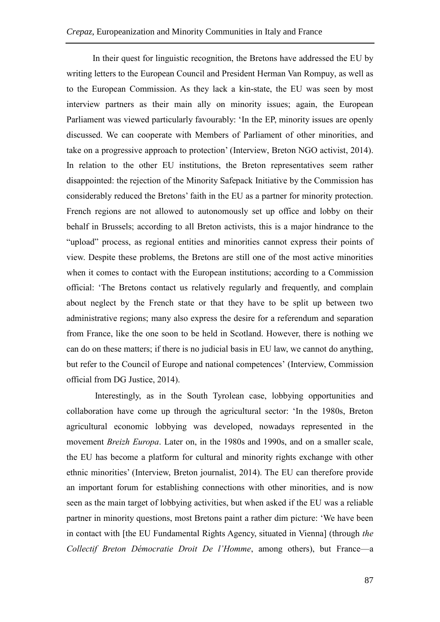In their quest for linguistic recognition, the Bretons have addressed the EU by writing letters to the European Council and President Herman Van Rompuy, as well as to the European Commission. As they lack a kin-state, the EU was seen by most interview partners as their main ally on minority issues; again, the European Parliament was viewed particularly favourably: 'In the EP, minority issues are openly discussed. We can cooperate with Members of Parliament of other minorities, and take on a progressive approach to protection' (Interview, Breton NGO activist, 2014). In relation to the other EU institutions, the Breton representatives seem rather disappointed: the rejection of the Minority Safepack Initiative by the Commission has considerably reduced the Bretons' faith in the EU as a partner for minority protection. French regions are not allowed to autonomously set up office and lobby on their behalf in Brussels; according to all Breton activists, this is a major hindrance to the "upload" process, as regional entities and minorities cannot express their points of view. Despite these problems, the Bretons are still one of the most active minorities when it comes to contact with the European institutions; according to a Commission official: 'The Bretons contact us relatively regularly and frequently, and complain about neglect by the French state or that they have to be split up between two administrative regions; many also express the desire for a referendum and separation from France, like the one soon to be held in Scotland. However, there is nothing we can do on these matters; if there is no judicial basis in EU law, we cannot do anything, but refer to the Council of Europe and national competences' (Interview, Commission official from DG Justice, 2014).

Interestingly, as in the South Tyrolean case, lobbying opportunities and collaboration have come up through the agricultural sector: 'In the 1980s, Breton agricultural economic lobbying was developed, nowadays represented in the movement *Breizh Europa*. Later on, in the 1980s and 1990s, and on a smaller scale, the EU has become a platform for cultural and minority rights exchange with other ethnic minorities' (Interview, Breton journalist, 2014). The EU can therefore provide an important forum for establishing connections with other minorities, and is now seen as the main target of lobbying activities, but when asked if the EU was a reliable partner in minority questions, most Bretons paint a rather dim picture: 'We have been in contact with [the EU Fundamental Rights Agency, situated in Vienna] (through *the Collectif Breton Démocratie Droit De l'Homme*, among others), but France—a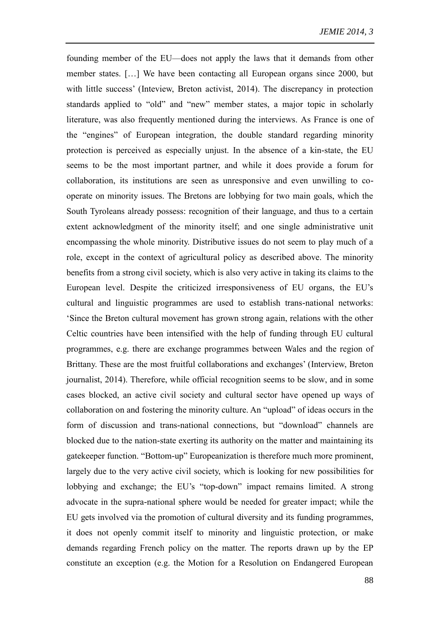founding member of the EU—does not apply the laws that it demands from other member states. […] We have been contacting all European organs since 2000, but with little success' (Inteview, Breton activist, 2014). The discrepancy in protection standards applied to "old" and "new" member states, a major topic in scholarly literature, was also frequently mentioned during the interviews. As France is one of the "engines" of European integration, the double standard regarding minority protection is perceived as especially unjust. In the absence of a kin-state, the EU seems to be the most important partner, and while it does provide a forum for collaboration, its institutions are seen as unresponsive and even unwilling to cooperate on minority issues. The Bretons are lobbying for two main goals, which the South Tyroleans already possess: recognition of their language, and thus to a certain extent acknowledgment of the minority itself; and one single administrative unit encompassing the whole minority. Distributive issues do not seem to play much of a role, except in the context of agricultural policy as described above. The minority benefits from a strong civil society, which is also very active in taking its claims to the European level. Despite the criticized irresponsiveness of EU organs, the EU's cultural and linguistic programmes are used to establish trans-national networks: 'Since the Breton cultural movement has grown strong again, relations with the other Celtic countries have been intensified with the help of funding through EU cultural programmes, e.g. there are exchange programmes between Wales and the region of Brittany. These are the most fruitful collaborations and exchanges' (Interview, Breton journalist, 2014). Therefore, while official recognition seems to be slow, and in some cases blocked, an active civil society and cultural sector have opened up ways of collaboration on and fostering the minority culture. An "upload" of ideas occurs in the form of discussion and trans-national connections, but "download" channels are blocked due to the nation-state exerting its authority on the matter and maintaining its gatekeeper function. "Bottom-up" Europeanization is therefore much more prominent, largely due to the very active civil society, which is looking for new possibilities for lobbying and exchange; the EU's "top-down" impact remains limited. A strong advocate in the supra-national sphere would be needed for greater impact; while the EU gets involved via the promotion of cultural diversity and its funding programmes, it does not openly commit itself to minority and linguistic protection, or make demands regarding French policy on the matter. The reports drawn up by the EP constitute an exception (e.g. the Motion for a Resolution on Endangered European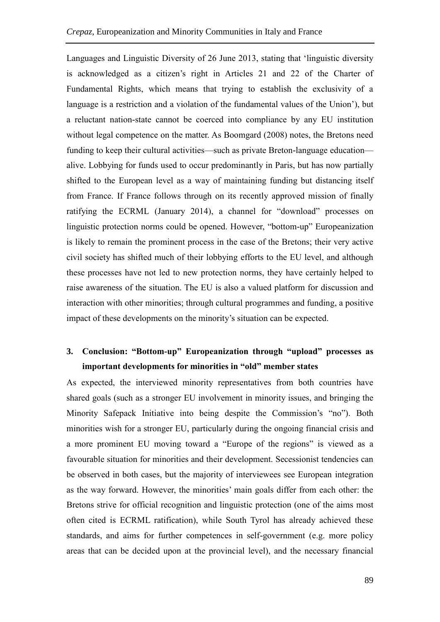Languages and Linguistic Diversity of 26 June 2013, stating that 'linguistic diversity is acknowledged as a citizen's right in Articles 21 and 22 of the Charter of Fundamental Rights, which means that trying to establish the exclusivity of a language is a restriction and a violation of the fundamental values of the Union'), but a reluctant nation-state cannot be coerced into compliance by any EU institution without legal competence on the matter. As Boomgard (2008) notes, the Bretons need funding to keep their cultural activities—such as private Breton-language education alive. Lobbying for funds used to occur predominantly in Paris, but has now partially shifted to the European level as a way of maintaining funding but distancing itself from France. If France follows through on its recently approved mission of finally ratifying the ECRML (January 2014), a channel for "download" processes on linguistic protection norms could be opened. However, "bottom-up" Europeanization is likely to remain the prominent process in the case of the Bretons; their very active civil society has shifted much of their lobbying efforts to the EU level, and although these processes have not led to new protection norms, they have certainly helped to raise awareness of the situation. The EU is also a valued platform for discussion and interaction with other minorities; through cultural programmes and funding, a positive impact of these developments on the minority's situation can be expected.

# **3. Conclusion: "Bottom-up" Europeanization through "upload" processes as important developments for minorities in "old" member states**

As expected, the interviewed minority representatives from both countries have shared goals (such as a stronger EU involvement in minority issues, and bringing the Minority Safepack Initiative into being despite the Commission's "no"). Both minorities wish for a stronger EU, particularly during the ongoing financial crisis and a more prominent EU moving toward a "Europe of the regions" is viewed as a favourable situation for minorities and their development. Secessionist tendencies can be observed in both cases, but the majority of interviewees see European integration as the way forward. However, the minorities' main goals differ from each other: the Bretons strive for official recognition and linguistic protection (one of the aims most often cited is ECRML ratification), while South Tyrol has already achieved these standards, and aims for further competences in self-government (e.g. more policy areas that can be decided upon at the provincial level), and the necessary financial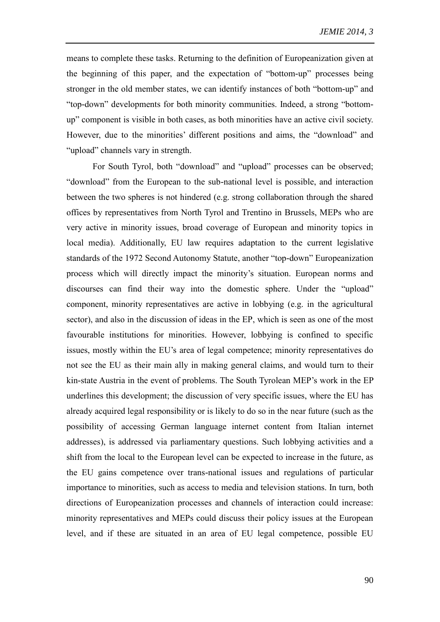means to complete these tasks. Returning to the definition of Europeanization given at the beginning of this paper, and the expectation of "bottom-up" processes being stronger in the old member states, we can identify instances of both "bottom-up" and "top-down" developments for both minority communities. Indeed, a strong "bottomup" component is visible in both cases, as both minorities have an active civil society. However, due to the minorities' different positions and aims, the "download" and "upload" channels vary in strength.

For South Tyrol, both "download" and "upload" processes can be observed; "download" from the European to the sub-national level is possible, and interaction between the two spheres is not hindered (e.g. strong collaboration through the shared offices by representatives from North Tyrol and Trentino in Brussels, MEPs who are very active in minority issues, broad coverage of European and minority topics in local media). Additionally, EU law requires adaptation to the current legislative standards of the 1972 Second Autonomy Statute, another "top-down" Europeanization process which will directly impact the minority's situation. European norms and discourses can find their way into the domestic sphere. Under the "upload" component, minority representatives are active in lobbying (e.g. in the agricultural sector), and also in the discussion of ideas in the EP, which is seen as one of the most favourable institutions for minorities. However, lobbying is confined to specific issues, mostly within the EU's area of legal competence; minority representatives do not see the EU as their main ally in making general claims, and would turn to their kin-state Austria in the event of problems. The South Tyrolean MEP's work in the EP underlines this development; the discussion of very specific issues, where the EU has already acquired legal responsibility or is likely to do so in the near future (such as the possibility of accessing German language internet content from Italian internet addresses), is addressed via parliamentary questions. Such lobbying activities and a shift from the local to the European level can be expected to increase in the future, as the EU gains competence over trans-national issues and regulations of particular importance to minorities, such as access to media and television stations. In turn, both directions of Europeanization processes and channels of interaction could increase: minority representatives and MEPs could discuss their policy issues at the European level, and if these are situated in an area of EU legal competence, possible EU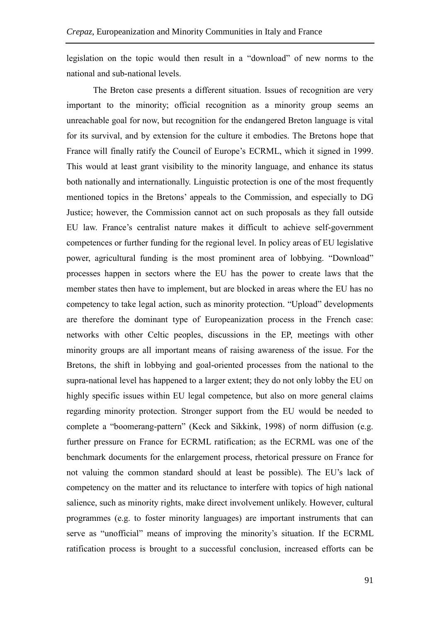legislation on the topic would then result in a "download" of new norms to the national and sub-national levels.

The Breton case presents a different situation. Issues of recognition are very important to the minority; official recognition as a minority group seems an unreachable goal for now, but recognition for the endangered Breton language is vital for its survival, and by extension for the culture it embodies. The Bretons hope that France will finally ratify the Council of Europe's ECRML, which it signed in 1999. This would at least grant visibility to the minority language, and enhance its status both nationally and internationally. Linguistic protection is one of the most frequently mentioned topics in the Bretons' appeals to the Commission, and especially to DG Justice; however, the Commission cannot act on such proposals as they fall outside EU law. France's centralist nature makes it difficult to achieve self-government competences or further funding for the regional level. In policy areas of EU legislative power, agricultural funding is the most prominent area of lobbying. "Download" processes happen in sectors where the EU has the power to create laws that the member states then have to implement, but are blocked in areas where the EU has no competency to take legal action, such as minority protection. "Upload" developments are therefore the dominant type of Europeanization process in the French case: networks with other Celtic peoples, discussions in the EP, meetings with other minority groups are all important means of raising awareness of the issue. For the Bretons, the shift in lobbying and goal-oriented processes from the national to the supra-national level has happened to a larger extent; they do not only lobby the EU on highly specific issues within EU legal competence, but also on more general claims regarding minority protection. Stronger support from the EU would be needed to complete a "boomerang-pattern" (Keck and Sikkink, 1998) of norm diffusion (e.g. further pressure on France for ECRML ratification; as the ECRML was one of the benchmark documents for the enlargement process, rhetorical pressure on France for not valuing the common standard should at least be possible). The EU's lack of competency on the matter and its reluctance to interfere with topics of high national salience, such as minority rights, make direct involvement unlikely. However, cultural programmes (e.g. to foster minority languages) are important instruments that can serve as "unofficial" means of improving the minority's situation. If the ECRML ratification process is brought to a successful conclusion, increased efforts can be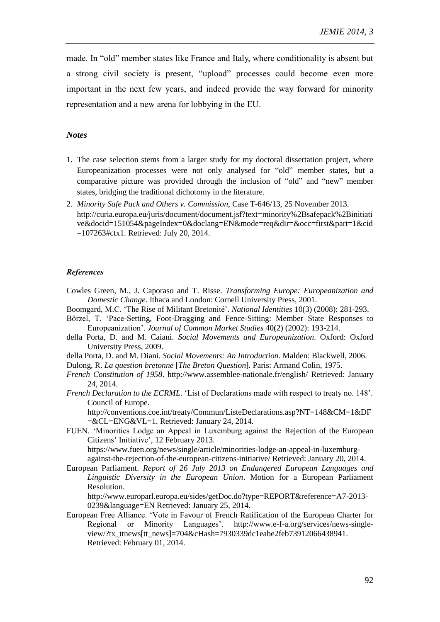made. In "old" member states like France and Italy, where conditionality is absent but a strong civil society is present, "upload" processes could become even more important in the next few years, and indeed provide the way forward for minority representation and a new arena for lobbying in the EU.

### *Notes*

- 1. The case selection stems from a larger study for my doctoral dissertation project, where Europeanization processes were not only analysed for "old" member states, but a comparative picture was provided through the inclusion of "old" and "new" member states, bridging the traditional dichotomy in the literature.
- 2. *Minority Safe Pack and Others v. Commission*, Case T-646/13, 25 November 2013. [http://curia.europa.eu/juris/document/document.jsf?text=minority%2Bsafepack%2Binitiati](http://curia.europa.eu/juris/document/document.jsf?text=minority%2Bsafepack%2Binitiative&docid=151054&pageIndex=0&doclang=EN&mode=req&dir=&occ=first&part=1&cid=107263#ctx1) [ve&docid=151054&pageIndex=0&doclang=EN&mode=req&dir=&occ=first&part=1&cid](http://curia.europa.eu/juris/document/document.jsf?text=minority%2Bsafepack%2Binitiative&docid=151054&pageIndex=0&doclang=EN&mode=req&dir=&occ=first&part=1&cid=107263#ctx1) [=107263#ctx1.](http://curia.europa.eu/juris/document/document.jsf?text=minority%2Bsafepack%2Binitiative&docid=151054&pageIndex=0&doclang=EN&mode=req&dir=&occ=first&part=1&cid=107263#ctx1) Retrieved: July 20, 2014.

### *References*

- Cowles Green, M., J. Caporaso and T. Risse. *Transforming Europe: Europeanization and Domestic Change*. Ithaca and London: Cornell University Press, 2001.
- Boomgard, M.C. 'The Rise of Militant Bretonité'. *National Identities* 10(3) (2008): 281-293.
- Börzel, T. 'Pace-Setting, Foot-Dragging and Fence-Sitting: Member State Responses to Europeanization'. *Journal of Common Market Studies* 40(2) (2002): 193-214.
- della Porta, D. and M. Caiani*. Social Movements and Europeanization*. Oxford: Oxford University Press, 2009.

della Porta, D. and M. Diani. *Social Movements: An Introduction*. Malden: Blackwell, 2006.

Dulong, R. *La question bretonne* [*The Breton Question*]*.* Paris: Armand Colin, 1975.

- *French Constitution of 1958*. http://www.assemblee-nationale.fr/english/ Retrieved: January 24, 2014.
- *French Declaration to the ECRML*. 'List of Declarations made with respect to treaty no. 148'. Council of Europe.

http://conventions.coe.int/treaty/Commun/ListeDeclarations.asp?NT=148&CM=1&DF =&CL=ENG&VL=1. Retrieved: January 24, 2014.

FUEN. 'Minorities Lodge an Appeal in Luxemburg against the Rejection of the European Citizens' Initiative', 12 February 2013.

https://www.fuen.org/news/single/article/minorities-lodge-an-appeal-in-luxemburgagainst-the-rejection-of-the-european-citizens-initiative/ Retrieved: January 20, 2014.

European Parliament. *Report of 26 July 2013 on Endangered European Languages and Linguistic Diversity in the European Union*. Motion for a European Parliament Resolution.

http://www.europarl.europa.eu/sides/getDoc.do?type=REPORT&reference=A7-2013- 0239&language=EN Retrieved: January 25, 2014.

European Free Alliance. 'Vote in Favour of French Ratification of the European Charter for Regional or Minority Languages'. http://www.e-f-a.org/services/news-singleview/?tx\_ttnews[tt\_news]=704&cHash=7930339dc1eabe2feb73912066438941. Retrieved: February 01, 2014.